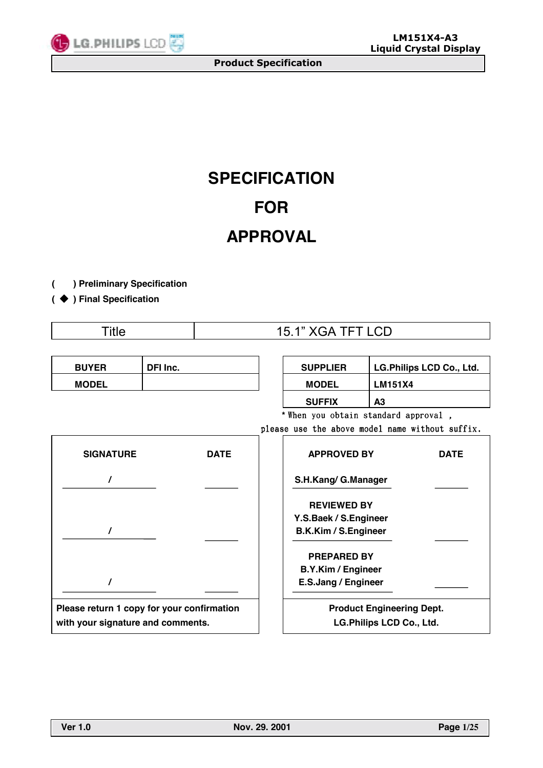

# **SPECIFICATION FOR APPROVAL**

**( ) Preliminary Specification** 

**(** ◆ **) Final Specification** 

| Title |  |  |
|-------|--|--|

Title 15.1" XGA TFT LCD

| <b>BUYER</b> | DFI Inc. | <b>SUPPLIER</b> | LG.Philips LCD Co., Ltd. |
|--------------|----------|-----------------|--------------------------|
| <b>MODEL</b> |          | <b>MODEL</b>    | <b>LM151X4</b>           |
|              |          | <b>SUFFIX</b>   | A <sub>3</sub>           |

\* When you obtain standard approval,

please use the above model name without suffix.

| <b>SIGNATURE</b>                                                                | <b>DATE</b> | <b>APPROVED BY</b>                                                  | <b>DATE</b>                                                  |  |  |
|---------------------------------------------------------------------------------|-------------|---------------------------------------------------------------------|--------------------------------------------------------------|--|--|
|                                                                                 |             | S.H.Kang/ G.Manager                                                 |                                                              |  |  |
|                                                                                 |             | <b>REVIEWED BY</b><br>Y.S.Baek / S.Engineer<br>B.K.Kim / S.Engineer |                                                              |  |  |
|                                                                                 |             | <b>PREPARED BY</b><br>B.Y.Kim / Engineer                            |                                                              |  |  |
|                                                                                 |             | E.S.Jang / Engineer                                                 |                                                              |  |  |
| Please return 1 copy for your confirmation<br>with your signature and comments. |             |                                                                     | <b>Product Engineering Dept.</b><br>LG.Philips LCD Co., Ltd. |  |  |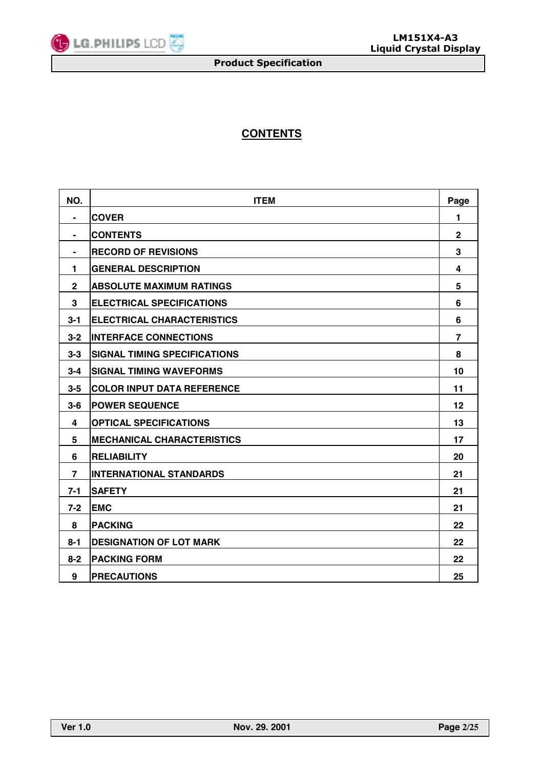

# **CONTENTS**

| NO.         | <b>ITEM</b>                         | Page           |
|-------------|-------------------------------------|----------------|
|             | <b>COVER</b>                        | 1              |
|             | <b>CONTENTS</b>                     | $\mathbf 2$    |
|             | <b>RECORD OF REVISIONS</b>          | 3              |
| 1           | <b>GENERAL DESCRIPTION</b>          | 4              |
| $\mathbf 2$ | <b>ABSOLUTE MAXIMUM RATINGS</b>     | 5              |
| 3           | <b>ELECTRICAL SPECIFICATIONS</b>    | 6              |
| $3 - 1$     | <b>ELECTRICAL CHARACTERISTICS</b>   | 6              |
| $3 - 2$     | <b>INTERFACE CONNECTIONS</b>        | $\overline{7}$ |
| $3 - 3$     | <b>SIGNAL TIMING SPECIFICATIONS</b> | 8              |
| $3 - 4$     | <b>SIGNAL TIMING WAVEFORMS</b>      | 10             |
| $3-5$       | <b>COLOR INPUT DATA REFERENCE</b>   | 11             |
| $3-6$       | <b>POWER SEQUENCE</b>               | 12             |
| 4           | <b>OPTICAL SPECIFICATIONS</b>       | 13             |
| 5           | <b>MECHANICAL CHARACTERISTICS</b>   | 17             |
| 6           | <b>RELIABILITY</b>                  | 20             |
| 7           | <b>INTERNATIONAL STANDARDS</b>      | 21             |
| $7 - 1$     | <b>SAFETY</b>                       | 21             |
| $7 - 2$     | <b>EMC</b>                          | 21             |
| 8           | <b>PACKING</b>                      | 22             |
| $8 - 1$     | <b>DESIGNATION OF LOT MARK</b>      | 22             |
| $8 - 2$     | <b>PACKING FORM</b>                 | 22             |
| 9           | <b>PRECAUTIONS</b>                  | 25             |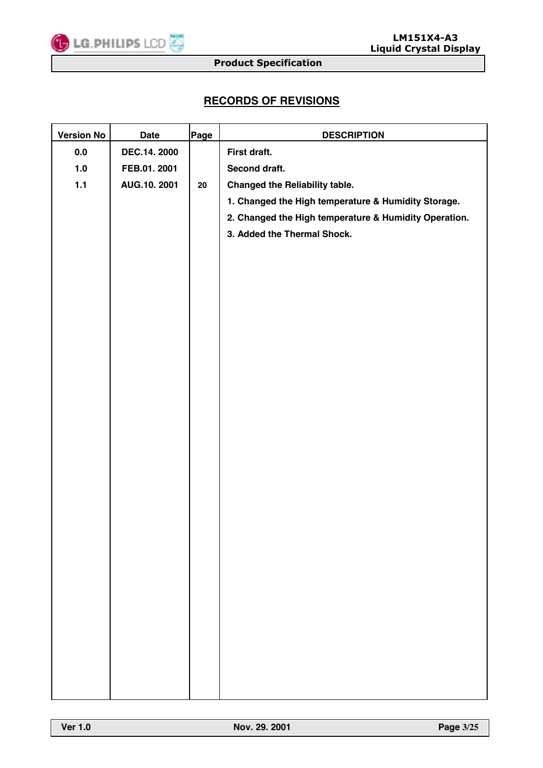

# **RECORDS OF REVISIONS**

| <b>Version No</b> | <b>Date</b> | Page   | <b>DESCRIPTION</b>                                    |
|-------------------|-------------|--------|-------------------------------------------------------|
| $0.0\,$           | DEC.14.2000 |        | First draft.                                          |
| 1.0               | FEB.01.2001 |        | Second draft.                                         |
| $1.1$             | AUG.10.2001 | $20\,$ | Changed the Reliability table.                        |
|                   |             |        | 1. Changed the High temperature & Humidity Storage.   |
|                   |             |        | 2. Changed the High temperature & Humidity Operation. |
|                   |             |        | 3. Added the Thermal Shock.                           |
|                   |             |        |                                                       |
|                   |             |        |                                                       |
|                   |             |        |                                                       |
|                   |             |        |                                                       |
|                   |             |        |                                                       |
|                   |             |        |                                                       |
|                   |             |        |                                                       |
|                   |             |        |                                                       |
|                   |             |        |                                                       |
|                   |             |        |                                                       |
|                   |             |        |                                                       |
|                   |             |        |                                                       |
|                   |             |        |                                                       |
|                   |             |        |                                                       |
|                   |             |        |                                                       |
|                   |             |        |                                                       |
|                   |             |        |                                                       |
|                   |             |        |                                                       |
|                   |             |        |                                                       |
|                   |             |        |                                                       |
|                   |             |        |                                                       |
|                   |             |        |                                                       |
|                   |             |        |                                                       |
|                   |             |        |                                                       |
|                   |             |        |                                                       |
|                   |             |        |                                                       |
|                   |             |        |                                                       |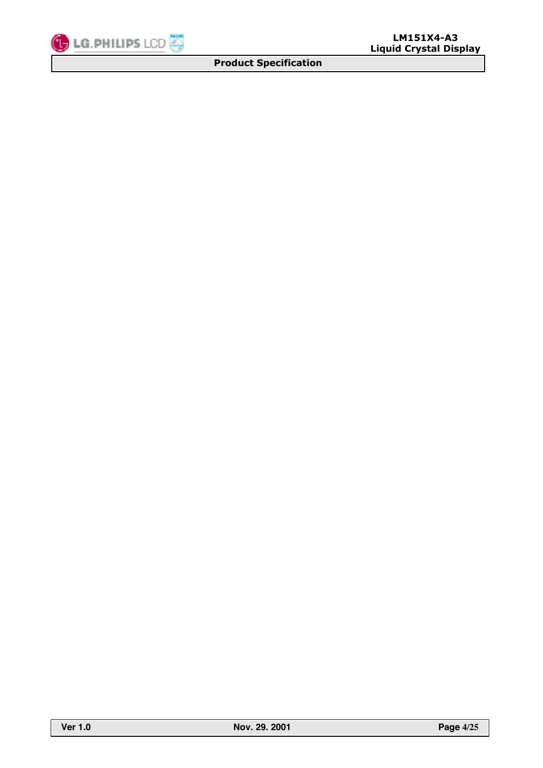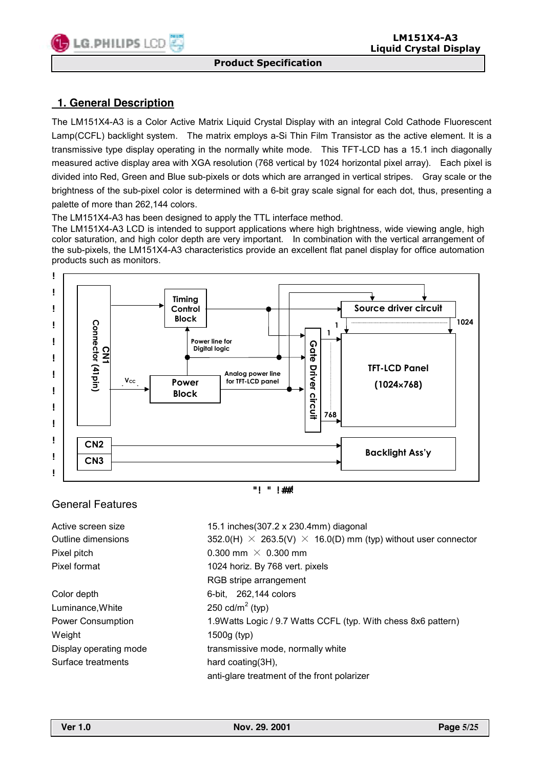# **1. General Description**

The LM151X4-A3 is a Color Active Matrix Liquid Crystal Display with an integral Cold Cathode Fluorescent Lamp(CCFL) backlight system. The matrix employs a-Si Thin Film Transistor as the active element. It is a transmissive type display operating in the normally white mode. This TFT-LCD has a 15.1 inch diagonally measured active display area with XGA resolution (768 vertical by 1024 horizontal pixel array). Each pixel is divided into Red, Green and Blue sub-pixels or dots which are arranged in vertical stripes. Gray scale or the brightness of the sub-pixel color is determined with a 6-bit gray scale signal for each dot, thus, presenting a palette of more than 262,144 colors.

The LM151X4-A3 has been designed to apply the TTL interface method.

The LM151X4-A3 LCD is intended to support applications where high brightness, wide viewing angle, high color saturation, and high color depth are very important. In combination with the vertical arrangement of the sub-pixels, the LM151X4-A3 characteristics provide an excellent flat panel display for office automation products such as monitors.



"[  $"$  |##!

## General Features

Active screen size 15.1 inches(307.2 x 230.4mm) diagonal Outline dimensions 352.0(H)  $\times$  263.5(V)  $\times$  16.0(D) mm (typ) without user connector Pixel pitch  $0.300 \text{ mm} \times 0.300 \text{ mm}$ Pixel format 1024 horiz. By 768 vert. pixels RGB stripe arrangement Color depth 6-bit, 262,144 colors Luminance, White 250  $cd/m<sup>2</sup>$  (typ) Power Consumption 1.9Watts Logic / 9.7 Watts CCFL (typ. With chess 8x6 pattern) Weight 1500g (typ) Display operating mode transmissive mode, normally white Surface treatments hard coating(3H), anti-glare treatment of the front polarizer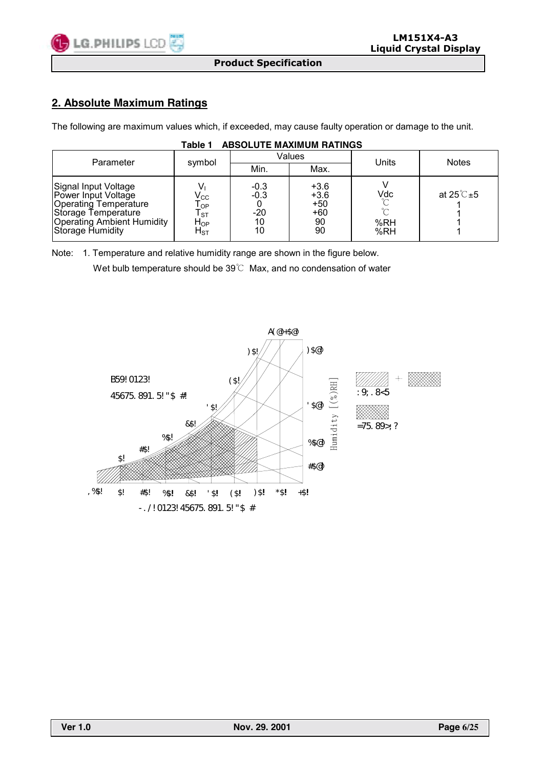

# **2. Absolute Maximum Ratings**

The following are maximum values which, if exceeded, may cause faulty operation or damage to the unit.

| Parameter                                                                                                                                                   | symbol                                                                              |                                       | Values                                       | Units                  | <b>Notes</b>              |  |  |
|-------------------------------------------------------------------------------------------------------------------------------------------------------------|-------------------------------------------------------------------------------------|---------------------------------------|----------------------------------------------|------------------------|---------------------------|--|--|
|                                                                                                                                                             |                                                                                     | Min.                                  | Max.                                         |                        |                           |  |  |
| Signal Input Voltage<br>Power Input Voltage<br><b>Operating Temperature</b><br>Storage Temperature<br><b>Operating Ambient Humidity</b><br>Storage Humidity | $\mathsf{V}_{\mathsf{CC}}$<br>OP<br>I ST<br>${\sf H}_{\sf OP}$<br>$H_{\textrm{ST}}$ | $-0.3$<br>$-0.3$<br>$-20$<br>10<br>10 | $+3.6$<br>$+3.6$<br>$+50$<br>+60<br>90<br>90 | Vdc<br>n<br>%RH<br>%RH | at 25 $\degree$ C $\pm$ 5 |  |  |

## **Table 1 ABSOLUTE MAXIMUM RATINGS**

Note: 1. Temperature and relative humidity range are shown in the figure below.

Wet bulb temperature should be 39℃ Max, and no condensation of water

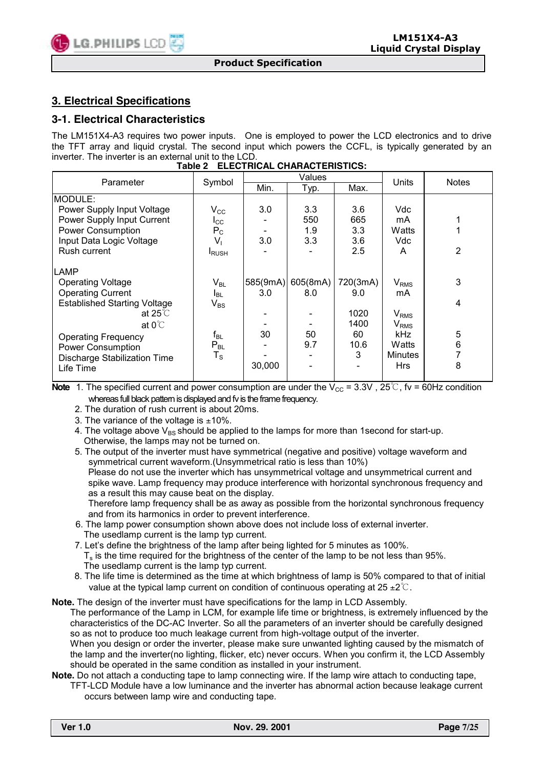## **3. Electrical Specifications**

#### **3-1. Electrical Characteristics**

The LM151X4-A3 requires two power inputs. One is employed to power the LCD electronics and to drive the TFT array and liquid crystal. The second input which powers the CCFL, is typically generated by an inverter. The inverter is an external unit to the LCD.

| ι αυισ Ζ<br>LLLUTNUAL UHANAUTLNIJHUJ. |                            |        |                   |          |                             |                |  |
|---------------------------------------|----------------------------|--------|-------------------|----------|-----------------------------|----------------|--|
| Parameter                             | Symbol                     |        | Values            |          |                             | <b>Notes</b>   |  |
|                                       |                            | Min.   | Typ.              | Max.     | Units                       |                |  |
| MODULE:                               |                            |        |                   |          |                             |                |  |
| Power Supply Input Voltage            | $\rm V_{CC}$               | 3.0    | 3.3               | 3.6      | Vdc                         |                |  |
| Power Supply Input Current            | $I_{\rm CC}$               |        | 550               | 665      | mA                          |                |  |
| <b>Power Consumption</b>              | $P_C$                      |        | 1.9               | 3.3      | Watts                       |                |  |
| Input Data Logic Voltage              | V <sub>I</sub>             | 3.0    | 3.3               | 3.6      | Vdc                         |                |  |
| Rush current                          | <b>I</b> RUSH              |        |                   | 2.5      | A                           | $\overline{2}$ |  |
|                                       |                            |        |                   |          |                             |                |  |
| LAMP                                  |                            |        |                   |          |                             |                |  |
| <b>Operating Voltage</b>              | $\mathsf{V}_{\mathsf{BL}}$ |        | 585(9mA) 605(8mA) | 720(3mA) | $\mathsf{V}_{\mathsf{RMS}}$ | 3              |  |
| <b>Operating Current</b>              | I <sub>BL</sub>            | 3.0    | 8.0               | 9.0      | mA                          |                |  |
| <b>Established Starting Voltage</b>   | $V_{BS}$                   |        |                   |          |                             | 4              |  |
| at $25^\circ\text{C}$                 |                            |        |                   | 1020     | $\mathsf{V}_{\mathsf{RMS}}$ |                |  |
| at $0^{\circ}$                        |                            |        |                   | 1400     | V <sub>RMS</sub>            |                |  |
| <b>Operating Frequency</b>            | $\mathsf{f}_{\mathsf{BL}}$ | 30     | 50                | 60       | kHz                         | 5              |  |
| <b>Power Consumption</b>              | $P_{BL}$                   |        | 9.7               | 10.6     | Watts                       | 6              |  |
| <b>Discharge Stabilization Time</b>   | $\mathsf{T}_\mathsf{S}$    |        |                   | 3        | <b>Minutes</b>              |                |  |
| Life Time                             |                            | 30,000 |                   |          | <b>Hrs</b>                  | 8              |  |
|                                       |                            |        |                   |          |                             |                |  |

#### **Table 2 ELECTRICAL CHARACTERISTICS:**

**Note** 1. The specified current and power consumption are under the V<sub>CC</sub> = 3.3V, 25<sup>°</sup>C, fv = 60Hz condition whereas full black pattern is displayed and fv is the frame frequency.

- 2. The duration of rush current is about 20ms.
- 3. The variance of the voltage is  $\pm 10\%$ .
- 4. The voltage above  $V_{BS}$  should be applied to the lamps for more than 1 second for start-up. Otherwise, the lamps may not be turned on.

 5. The output of the inverter must have symmetrical (negative and positive) voltage waveform and symmetrical current waveform.(Unsymmetrical ratio is less than 10%) Please do not use the inverter which has unsymmetrical voltage and unsymmetrical current and spike wave. Lamp frequency may produce interference with horizontal synchronous frequency and as a result this may cause beat on the display. Therefore lamp frequency shall be as away as possible from the horizontal synchronous frequency and from its harmonics in order to prevent interference.

- 6. The lamp power consumption shown above does not include loss of external inverter. The usedlamp current is the lamp typ current.
- 7. Let's define the brightness of the lamp after being lighted for 5 minutes as 100%.
- $T<sub>s</sub>$  is the time required for the brightness of the center of the lamp to be not less than 95%.
- The usedlamp current is the lamp typ current.
- 8. The life time is determined as the time at which brightness of lamp is 50% compared to that of initial value at the typical lamp current on condition of continuous operating at  $25 \pm 2^{\circ}$ .
- **Note.** The design of the inverter must have specifications for the lamp in LCD Assembly.

 The performance of the Lamp in LCM, for example life time or brightness, is extremely influenced by the characteristics of the DC-AC Inverter. So all the parameters of an inverter should be carefully designed so as not to produce too much leakage current from high-voltage output of the inverter.

When you design or order the inverter, please make sure unwanted lighting caused by the mismatch of the lamp and the inverter(no lighting, flicker, etc) never occurs. When you confirm it, the LCD Assembly should be operated in the same condition as installed in your instrument.

**Note.** Do not attach a conducting tape to lamp connecting wire. If the lamp wire attach to conducting tape, TFT-LCD Module have a low luminance and the inverter has abnormal action because leakage current

occurs between lamp wire and conducting tape.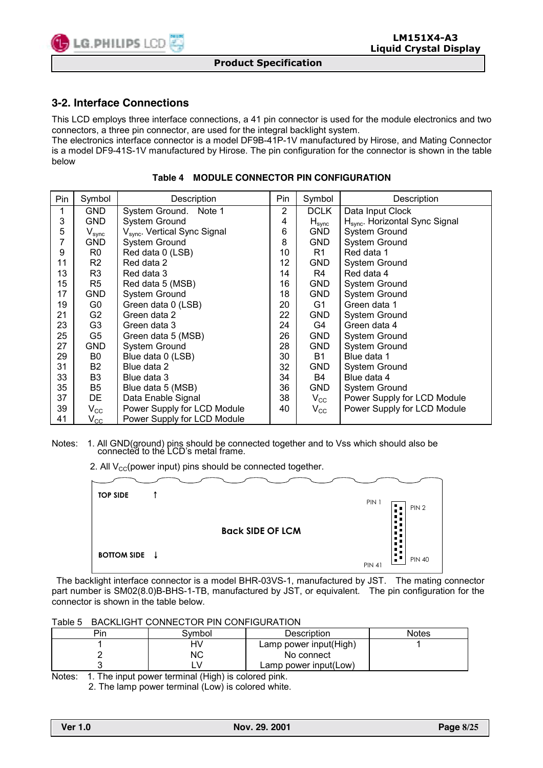## **3-2. Interface Connections**

This LCD employs three interface connections, a 41 pin connector is used for the module electronics and two connectors, a three pin connector, are used for the integral backlight system.

The electronics interface connector is a model DF9B-41P-1V manufactured by Hirose, and Mating Connector is a model DF9-41S-1V manufactured by Hirose. The pin configuration for the connector is shown in the table below

| Pin | Symbol                     | Description                              | Pin            | Symbol       | Description                                |
|-----|----------------------------|------------------------------------------|----------------|--------------|--------------------------------------------|
| 1   | <b>GND</b>                 | System Ground.<br>Note 1                 | $\overline{2}$ | <b>DCLK</b>  | Data Input Clock                           |
| 3   | <b>GND</b>                 | <b>System Ground</b>                     | 4              | $H_{sync}$   | H <sub>svnc</sub> . Horizontal Sync Signal |
| 5   | $V_{sync}$                 | V <sub>sync</sub> . Vertical Sync Signal | 6              | <b>GND</b>   | System Ground                              |
| 7   | <b>GND</b>                 | <b>System Ground</b>                     | 8              | <b>GND</b>   | <b>System Ground</b>                       |
| 9   | R0                         | Red data 0 (LSB)                         | 10             | R1           | Red data 1                                 |
| 11  | R <sub>2</sub>             | Red data 2                               | 12             | <b>GND</b>   | System Ground                              |
| 13  | R <sub>3</sub>             | Red data 3                               | 14             | R4           | Red data 4                                 |
| 15  | R <sub>5</sub>             | Red data 5 (MSB)                         | 16             | <b>GND</b>   | System Ground                              |
| 17  | <b>GND</b>                 | <b>System Ground</b>                     | 18             | <b>GND</b>   | System Ground                              |
| 19  | G0                         | Green data 0 (LSB)                       | 20             | G1           | Green data 1                               |
| 21  | G <sub>2</sub>             | Green data 2                             | 22             | <b>GND</b>   | System Ground                              |
| 23  | G3                         | Green data 3                             | 24             | G4           | Green data 4                               |
| 25  | G <sub>5</sub>             | Green data 5 (MSB)                       | 26             | <b>GND</b>   | System Ground                              |
| 27  | <b>GND</b>                 | <b>System Ground</b>                     | 28             | <b>GND</b>   | <b>System Ground</b>                       |
| 29  | B0                         | Blue data 0 (LSB)                        | 30             | B1           | Blue data 1                                |
| 31  | B <sub>2</sub>             | Blue data 2                              | 32             | <b>GND</b>   | System Ground                              |
| 33  | B <sub>3</sub>             | Blue data 3                              | 34             | B4           | Blue data 4                                |
| 35  | B5                         | Blue data 5 (MSB)                        | 36             | <b>GND</b>   | System Ground                              |
| 37  | DE                         | Data Enable Signal                       | 38             | $V_{\rm CC}$ | Power Supply for LCD Module                |
| 39  | $\mathsf{V}_{\mathsf{CC}}$ | Power Supply for LCD Module              | 40             | $V_{\rm CC}$ | Power Supply for LCD Module                |
| 41  | $\rm V_{CC}$               | Power Supply for LCD Module              |                |              |                                            |

**Table 4 MODULE CONNECTOR PIN CONFIGURATION** 

Notes: 1. All GND(ground) pins should be connected together and to Vss which should also be connected to the LCD's metal frame.

2. All  $V_{\text{CC}}$ (power input) pins should be connected together.

| <b>TOP SIDE</b>    |              |                         | PIN 1         |                  |
|--------------------|--------------|-------------------------|---------------|------------------|
|                    |              |                         |               | PIN <sub>2</sub> |
|                    |              |                         |               |                  |
|                    |              | <b>Back SIDE OF LCM</b> |               |                  |
| <b>BOTTOM SIDE</b> | $\downarrow$ |                         |               | п                |
|                    |              |                         | <b>PIN 41</b> | <b>PIN 40</b>    |

 The backlight interface connector is a model BHR-03VS-1, manufactured by JST. The mating connector part number is SM02(8.0)B-BHS-1-TB, manufactured by JST, or equivalent. The pin configuration for the connector is shown in the table below.

| Pin | Svmbol | Description            | Notes |
|-----|--------|------------------------|-------|
|     | HV     | Lamp power input(High) |       |
|     | ΝC     | No connect             |       |
|     |        | Lamp power input(Low)  |       |

Notes: 1. The input power terminal (High) is colored pink.

2. The lamp power terminal (Low) is colored white.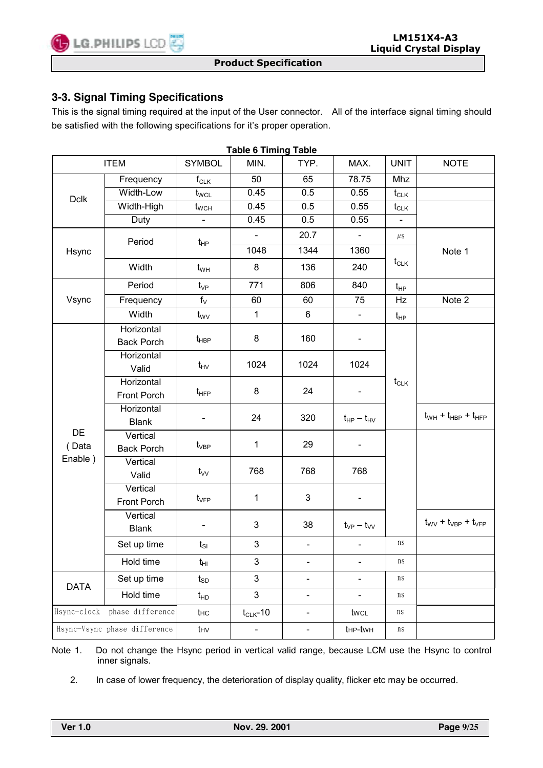## **3-3. Signal Timing Specifications**

This is the signal timing required at the input of the User connector. All of the interface signal timing should be satisfied with the following specifications for it's proper operation.

| <b>Table 6 Timing Table</b> |                                  |                          |                           |                              |                          |                                |                                                   |  |
|-----------------------------|----------------------------------|--------------------------|---------------------------|------------------------------|--------------------------|--------------------------------|---------------------------------------------------|--|
|                             | <b>ITEM</b>                      | <b>SYMBOL</b>            | MIN.                      | TYP.                         | MAX.                     | <b>UNIT</b>                    | <b>NOTE</b>                                       |  |
|                             | Frequency                        | $f_{CLK}$                | 50                        | 65                           | 78.75                    | Mhz                            |                                                   |  |
| <b>Dclk</b>                 | Width-Low                        | t <sub>wcL</sub>         | 0.45                      | 0.5                          | 0.55                     | $t_{CLK}$                      |                                                   |  |
|                             | Width-High                       | $t_{\text{WCH}}$         | 0.45                      | 0.5                          | 0.55                     | $t_{\scriptstyle\textrm{CLK}}$ |                                                   |  |
|                             | Duty                             | $\overline{\phantom{0}}$ | 0.45                      | 0.5                          | 0.55                     |                                |                                                   |  |
|                             | Period                           | $t_{HP}$                 |                           | 20.7                         |                          | $\mu$ S                        |                                                   |  |
| Hsync                       |                                  |                          | 1048                      | 1344                         | 1360                     |                                | Note 1                                            |  |
|                             | Width                            | $t_{WH}$                 | 8                         | 136                          | 240                      | $t_{CLK}$                      |                                                   |  |
|                             | Period                           | $t_{VP}$                 | 771                       | 806                          | 840                      | $t_{HP}$                       |                                                   |  |
| Vsync                       | Frequency                        | $f_V$                    | 60                        | 60                           | 75                       | Hz                             | Note 2                                            |  |
|                             | Width                            | $t_{\rm WV}$             | 1                         | 6                            | $\frac{1}{2}$            | $t_{HP}$                       |                                                   |  |
|                             | Horizontal<br><b>Back Porch</b>  | $t_{\sf HBP}$            | 8                         | 160                          | -                        |                                |                                                   |  |
|                             | Horizontal<br>Valid              | $t_{HV}$                 | 1024                      | 1024                         | 1024                     |                                |                                                   |  |
|                             | Horizontal<br><b>Front Porch</b> | $t_{\text{HFP}}$         | 8                         | 24                           |                          | $t_{CLK}$                      |                                                   |  |
|                             | Horizontal<br><b>Blank</b>       |                          | 24                        | 320                          | $t_{HP} - t_{HV}$        |                                | $tWH + tHBP + tHFP$                               |  |
| <b>DE</b><br>(Data          | Vertical<br><b>Back Porch</b>    | $t_{VBP}$                | 1                         | 29                           |                          |                                |                                                   |  |
| Enable)                     | Vertical<br>Valid                | $t_{VV}$                 | 768                       | 768                          | 768                      |                                |                                                   |  |
|                             | Vertical<br><b>Front Porch</b>   | $t_{\rm VFP}$            | 1                         | 3                            |                          |                                |                                                   |  |
|                             | Vertical<br><b>Blank</b>         |                          | 3                         | 38                           | $t_{VP} - t_{VV}$        |                                | $t_{\text{WV}} + t_{\text{VBP}} + t_{\text{VFP}}$ |  |
|                             | Set up time                      | $t_{SI}$                 | $\ensuremath{\mathsf{3}}$ | $\overline{\phantom{a}}$     |                          | ns                             |                                                   |  |
|                             | Hold time                        | $t_{\rm HI}$             | $\mathbf{3}$              | $\overline{\phantom{a}}$     | $\overline{\phantom{a}}$ | ns                             |                                                   |  |
| <b>DATA</b>                 | Set up time                      | $t_{SD}$                 | 3                         | $\qquad \qquad \blacksquare$ | $\overline{\phantom{0}}$ | ns                             |                                                   |  |
|                             | Hold time                        | $t_{HD}$                 | 3                         | $\qquad \qquad \blacksquare$ | $\overline{\phantom{0}}$ | ns                             |                                                   |  |
|                             | Hsync-clock phase difference     | thc                      | $t_{CLK}$ -10             | $\blacksquare$               | twcL                     | ns                             |                                                   |  |
|                             | Hsync-Vsync phase difference     | thv                      | $\frac{1}{2}$             | $\overline{\phantom{a}}$     | tHP-tWH                  | ns                             |                                                   |  |

Note 1. Do not change the Hsync period in vertical valid range, because LCM use the Hsync to control inner signals.

2. In case of lower frequency, the deterioration of display quality, flicker etc may be occurred.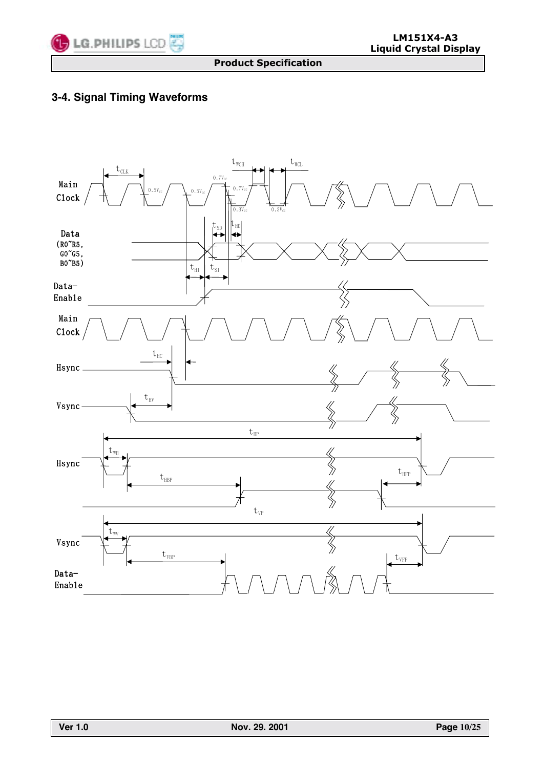

# **3-4. Signal Timing Waveforms**

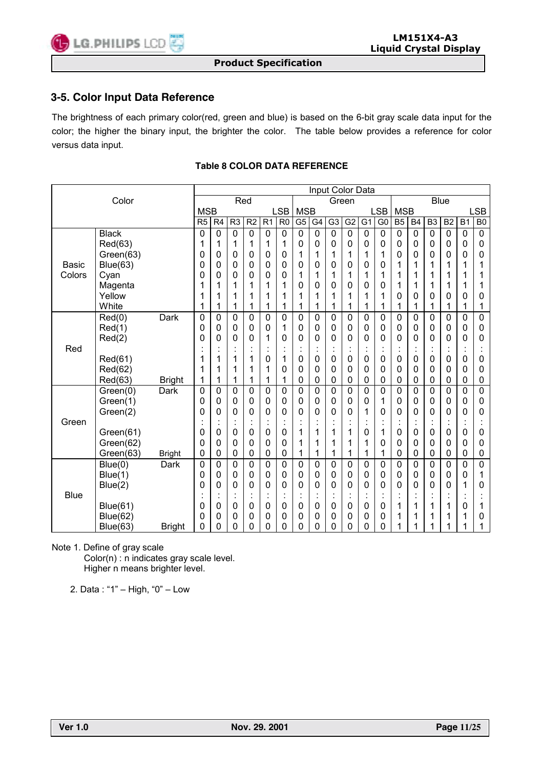## **3-5. Color Input Data Reference**

The brightness of each primary color(red, green and blue) is based on the 6-bit gray scale data input for the color; the higher the binary input, the brighter the color. The table below provides a reference for color versus data input.

|  |  |  | <b>Table 8 COLOR DATA REFERENCE</b> |
|--|--|--|-------------------------------------|
|--|--|--|-------------------------------------|

|              |                 |               | Input Color Data |                |                               |                |                |                |                 |                |                 |             |                 |                     |                 |             |                |                   |             |                 |
|--------------|-----------------|---------------|------------------|----------------|-------------------------------|----------------|----------------|----------------|-----------------|----------------|-----------------|-------------|-----------------|---------------------|-----------------|-------------|----------------|-------------------|-------------|-----------------|
| Color        |                 |               |                  |                |                               | Red            |                |                |                 |                |                 | Green       |                 |                     |                 |             |                | <b>Blue</b>       |             |                 |
|              |                 |               | <b>MSB</b>       |                |                               |                |                | LSB            | <b>MSB</b>      |                |                 |             |                 | <b>LSB</b>          | <b>MSB</b>      |             |                |                   |             | <b>LSB</b>      |
|              |                 |               | R <sub>5</sub>   | R <sub>4</sub> | R <sub>3</sub>                | R <sub>2</sub> | R <sub>1</sub> | $\overline{R}$ | $\overline{G5}$ | G4             | $\overline{G3}$ | G2          | $\overline{G1}$ | $\overline{G}$      | $\overline{B5}$ | <b>B4</b>   | B <sub>3</sub> | B <sub>2</sub>    | <b>B1</b>   | $\overline{B0}$ |
|              | <b>Black</b>    |               | $\mathbf 0$      | $\mathbf 0$    | 0                             | $\mathbf 0$    | $\mathbf 0$    | $\mathbf 0$    | $\mathbf 0$     | $\overline{0}$ | $\pmb{0}$       | $\mathbf 0$ | $\mathbf 0$     | $\mathbf 0$         | $\mathbf 0$     | $\pmb{0}$   | $\mathbf 0$    | $\mathbf 0$       | $\mathbf 0$ | 0               |
|              | Red(63)         |               | 1                | 1              | 1                             | 1              | 1              | 1              | 0               | 0              | 0               | 0           | 0               | 0                   | 0               | 0           | 0              | 0                 | 0           | 0               |
|              | Green(63)       |               | 0                | 0              | 0                             | 0              | 0              | 0              | 1               | 1              | 1               | 1           | 1               | 1                   | 0               | 0           | 0              | 0                 | 0           | 0               |
| <b>Basic</b> | <b>Blue(63)</b> |               | 0                | 0              | 0                             | 0              | 0              | 0              | 0               | 0              | 0               | 0           | 0               | 0                   | 1               | 1           | 1              | 1                 | 1           | 1               |
| Colors       | Cyan            |               | 0                | 0              | 0                             | 0              | 0              | 0              | 1               | 1              | 1               | 1           | 1               | 1                   | 1               | 1           | 1              | 1                 | 1           | 1               |
|              | Magenta         |               |                  | 1              | 1                             | 1              | 1              | 1              | 0               | 0              | 0               | 0           | 0               | 0                   | 1               | 1           | 1              | 1                 | 1           | 1               |
|              | Yellow          |               |                  | 1              | 1                             | 1              | 1              | 1              | 1               | 1              | 1               | 1           | 1               | 1                   | 0               | 0           | 0              | 0                 | 0           | 0               |
|              | White           |               | 1                | 1              | 1                             | 1              | 1              | 1              | 1               | 1              | 1               | 1           | 1               | 1                   | 1               | 1           | 1              | 1                 | 1           | 1               |
|              | Red(0)          | Dark          | 0                | 0              | 0                             | 0              | 0              | 0              | $\mathbf 0$     | $\mathbf 0$    | 0               | $\mathbf 0$ | 0               | 0                   | 0               | 0           | 0              | 0                 | 0           | $\mathbf 0$     |
|              | Red(1)          |               | 0                | 0              | 0                             | 0              | 0              | 1              | 0               | 0              | 0               | 0           | 0               | 0                   | 0               | 0           | 0              | 0                 | 0           | 0               |
|              | Red(2)          |               | 0                | 0              | 0                             | 0              | 1              | 0              | 0               | 0              | 0               | 0           | 0               | 0                   | 0               | 0           | 0              | 0                 | 0           | 0               |
| Red          |                 |               |                  | t              |                               |                |                |                | ÷               |                | İ               |             |                 | $\ddot{\cdot}$      |                 |             |                |                   | ٠           |                 |
|              | Red(61)         |               | 1                | 1              | 1                             | 1              | 0              | 1              | 0               | 0              | 0               | 0           | 0               | 0                   | 0               | 0           | 0              | 0                 | 0           | 0               |
|              | Red(62)         |               | 1                | 1              | 1                             | 1              | 1              | 0              | 0               | 0              | 0               | 0           | 0               | 0                   | 0               | 0           | 0              | 0                 | 0           | 0               |
|              | Red(63)         | <b>Bright</b> | 1                | 1              | 1                             | 1              | 1              | 1              | $\mathbf 0$     | 0              | 0               | 0           | 0               | 0                   | 0               | 0           | 0              | 0                 | 0           | 0               |
|              | Green(0)        | Dark          | 0                | 0              | 0                             | 0              | $\mathbf 0$    | 0              | 0               | 0              | 0               | 0           | 0               | 0                   | 0               | $\mathbf 0$ | 0              | $\Omega$          | 0           | 0               |
|              | Green(1)        |               | 0                | 0              | 0                             | 0              | 0              | 0              | 0               | 0              | 0               | 0           | 0               | 1                   | 0               | 0           | 0              | 0                 | 0           | 0               |
|              | Green(2)        |               | 0                | 0              | 0                             | 0              | 0              | 0              | 0               | 0              | 0               | 0           | 1               | 0                   | 0               | 0           | 0              | 0                 | 0           | 0               |
| Green        | Green(61)       |               | 0                | ÷<br>0         | $\blacksquare$<br>0           | ä,<br>0        |                | 0              | İ<br>1          | 1              | 1               | ä,<br>1     | 0               | $\ddot{\cdot}$<br>1 | 0               |             | ٠<br>0         | ä,<br>$\mathbf 0$ | ٠<br>0      |                 |
|              | Green(62)       |               | 0                | 0              | 0                             | 0              | 0<br>0         | 0              | 1               | 1              | 1               | 1           | 1               | 0                   | 0               | 0<br>0      | 0              | 0                 | 0           | 0<br>0          |
|              | Green(63)       | <b>Bright</b> | 0                | 0              | 0                             | 0              | 0              | $\mathbf 0$    | 1               | 1              | 1               | 1           | 1               | 1                   | 0               | 0           | $\mathbf 0$    | 0                 | 0           | 0               |
|              | Blue(0)         | Dark          | 0                | 0              | 0                             | 0              | 0              | 0              | $\mathbf 0$     | $\mathbf 0$    | 0               | 0           | 0               | 0                   | 0               | 0           | 0              | 0                 | 0           | 0               |
|              | Blue(1)         |               | 0                | 0              | 0                             | 0              | 0              | 0              | 0               | 0              | 0               | 0           | 0               | 0                   | 0               | 0           | 0              | 0                 | 0           | 1               |
|              | Blue(2)         |               | 0                | 0              | 0                             | 0              | 0              | 0              | 0               | 0              | 0               | 0           | 0               | 0                   | 0               | 0           | 0              | 0                 | 1           | 0               |
| <b>Blue</b>  |                 |               |                  | ÷              |                               |                |                |                | İ               |                |                 |             |                 |                     |                 |             |                |                   |             |                 |
|              | <b>Blue(61)</b> |               | 0                | 0              | $\overline{\phantom{a}}$<br>0 | 0              | 0              | 0              | 0               | 0              | ٠<br>0          | 0           | $\cdot$<br>0    | ٠<br>0              | 1               | 1           | 1              | 1                 | 0           | 1               |
|              | <b>Blue(62)</b> |               | 0                | 0              | 0                             | 0              | 0              | 0              | 0               | 0              | 0               | 0           | 0               | 0                   | 1               | 1           | 1              | 1                 | 1           | 0               |
|              | Blue(63)        | <b>Bright</b> | 0                | 0              | 0                             | 0              | 0              | 0              | 0               | 0              | 0               | 0           | 0               | 0                   | 1               | 1           | 1              | 1                 | 1           |                 |

Note 1. Define of gray scale

 Color(n) : n indicates gray scale level. Higher n means brighter level.

2. Data : "1" – High, "0" – Low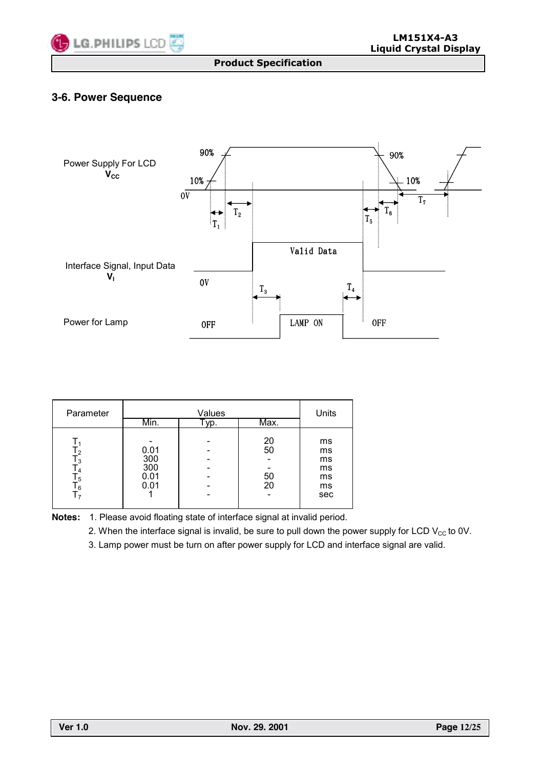

## **3-6. Power Sequence**



| Parameter                                | Min.                               | Values<br>yp. | Max.                 | Units                                   |
|------------------------------------------|------------------------------------|---------------|----------------------|-----------------------------------------|
| $\mathbf{F}_{2}$<br>3.<br>ا 5<br>6<br>Г, | 0.01<br>300<br>300<br>0.01<br>0.01 |               | 20<br>50<br>50<br>20 | ms<br>ms<br>ms<br>ms<br>ms<br>ms<br>sec |

**Notes:** 1. Please avoid floating state of interface signal at invalid period.

2. When the interface signal is invalid, be sure to pull down the power supply for LCD  $V_{CC}$  to 0V.

3. Lamp power must be turn on after power supply for LCD and interface signal are valid.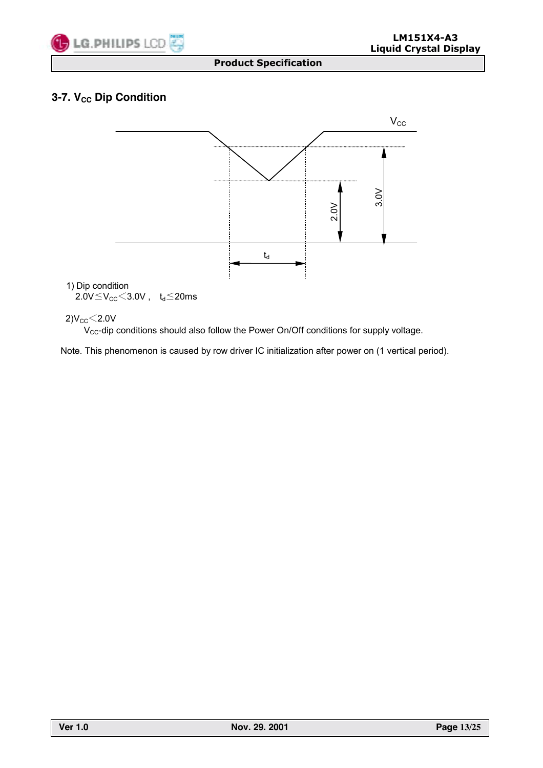

# **3-7. V<sub>cc</sub> Dip Condition**



 $2)V_{CC}$   $<$  2.0V

 $V_{CC}$ -dip conditions should also follow the Power On/Off conditions for supply voltage.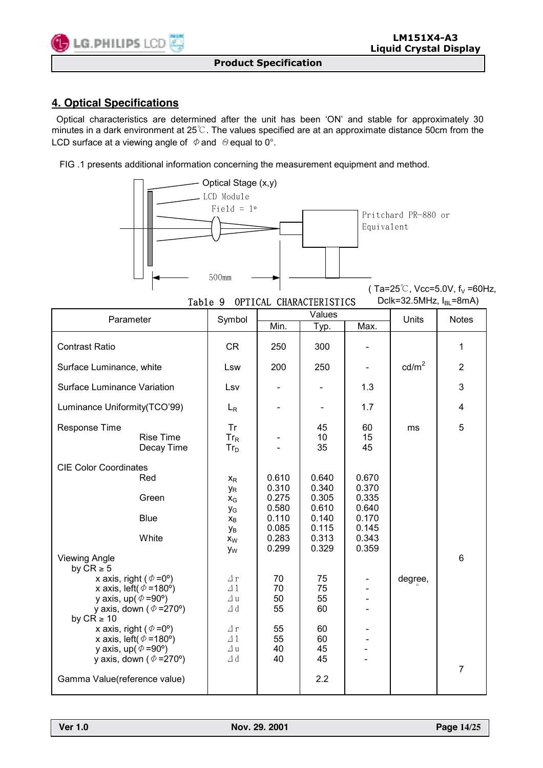

# **4. Optical Specifications**

 Optical characteristics are determined after the unit has been 'ON' and stable for approximately 30 minutes in a dark environment at 25℃. The values specified are at an approximate distance 50cm from the LCD surface at a viewing angle of  $\Phi$  and  $\Theta$  equal to 0°.

FIG .1 presents additional information concerning the measurement equipment and method.



Table 9 OPTICAL CHARACTERISTICS

( Ta=25℃, Vcc=5.0V,  $f_V$  =60Hz, Dclk=32.5MHz,  $I_{BL}$ =8mA)

| Parameter                                                                                                                                         | Symbol                                                     |                                  | Values                           |                                  | Units           | <b>Notes</b>   |
|---------------------------------------------------------------------------------------------------------------------------------------------------|------------------------------------------------------------|----------------------------------|----------------------------------|----------------------------------|-----------------|----------------|
|                                                                                                                                                   |                                                            | Min.                             | Typ.                             | Max.                             |                 |                |
| <b>Contrast Ratio</b>                                                                                                                             | <b>CR</b>                                                  | 250                              | 300                              |                                  |                 | 1              |
| Surface Luminance, white                                                                                                                          | Lsw                                                        | 200                              | 250                              |                                  | $\text{cd/m}^2$ | $\overline{2}$ |
| <b>Surface Luminance Variation</b>                                                                                                                | Lsv                                                        |                                  |                                  | 1.3                              |                 | 3              |
| Luminance Uniformity(TCO'99)                                                                                                                      | $L_{R}$                                                    |                                  |                                  | 1.7                              |                 | 4              |
| Response Time<br><b>Rise Time</b><br>Decay Time                                                                                                   | Tr<br>$Tr_R$<br>$Tr_D$                                     |                                  | 45<br>10<br>35                   | 60<br>15<br>45                   | ms              | 5              |
| <b>CIE Color Coordinates</b>                                                                                                                      |                                                            |                                  |                                  |                                  |                 |                |
| Red<br>Green                                                                                                                                      | $X_{R}$<br><b>y</b> <sub>R</sub><br>$X_G$                  | 0.610<br>0.310<br>0.275          | 0.640<br>0.340<br>0.305          | 0.670<br>0.370<br>0.335          |                 |                |
| <b>Blue</b><br>White                                                                                                                              | УG<br>$X_{R}$<br>Ув<br>x <sub>W</sub>                      | 0.580<br>0.110<br>0.085<br>0.283 | 0.610<br>0.140<br>0.115<br>0.313 | 0.640<br>0.170<br>0.145<br>0.343 |                 |                |
| <b>Viewing Angle</b><br>by $CR \ge 5$                                                                                                             | <b>y</b> <sub>w</sub>                                      | 0.299                            | 0.329                            | 0.359                            |                 | 6              |
| x axis, right ( $\Phi = 0^{\circ}$ )<br>x axis, left( $\Phi$ =180°)<br>y axis, up( $\Phi$ =90°)<br>y axis, down ( $\Phi = 270^{\circ}$ )          | $\varDelta$ r<br>$\Delta$ 1<br>$\Delta$ u<br>$\varDelta$ d | 70<br>70<br>50<br>55             | 75<br>75<br>55<br>60             |                                  | degree,         |                |
| by $CR \ge 10$<br>x axis, right ( $\Phi = 0^{\circ}$ )<br>x axis, left( $\Phi$ =180°)<br>y axis, up( $\Phi$ =90°)<br>y axis, down ( $\Phi$ =270°) | $\Delta r$<br>$\Delta1$<br>$\varDelta$ u<br>$\Delta d$     | 55<br>55<br>40<br>40             | 60<br>60<br>45<br>45             |                                  |                 |                |
| Gamma Value(reference value)                                                                                                                      |                                                            |                                  | 2.2                              |                                  |                 | $\overline{7}$ |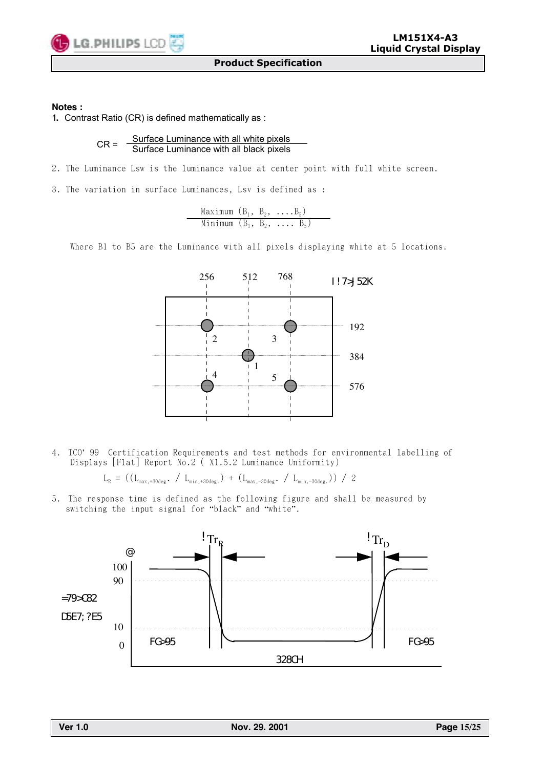

#### **Notes :**

1**.** Contrast Ratio (CR) is defined mathematically as :

$$
CR = \frac{Surface \ Luminance \ with \ all \ white \ pixels}{Surface \ Luminance \ with \ all \ black \ pixels}
$$

- 2. The Luminance Lsw is the luminance value at center point with full white screen.
- 3. The variation in surface Luminances, Lsv is defined as :

Maximum  $(B_1, B_2, \ldots, B_5)$ Minimum  $(B_1, B_2, \ldots, B_5)$ 

Where B1 to B5 are the Luminance with all pixels displaying white at 5 locations.



4. TCO' 99 Certification Requirements and test methods for environmental labelling of Displays [Flat] Report No.2 ( X1.5.2 Luminance Uniformity)

$$
L_{R} = ((L_{max, +30 \deg.} / L_{min, +30 \deg.}) + (L_{max, -30 \deg.} / L_{min, -30 \deg.})) / 2
$$

5. The response time is defined as the following figure and shall be measured by switching the input signal for "black" and "white".

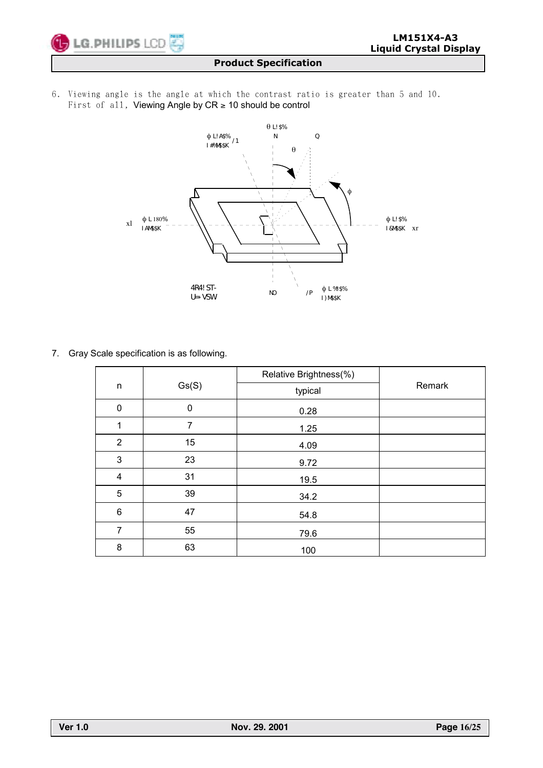

6. Viewing angle is the angle at which the contrast ratio is greater than 5 and 10. First of all, Viewing Angle by CR ≥ 10 should be control



7. Gray Scale specification is as following.

|                |                | Relative Brightness(%) |        |  |  |
|----------------|----------------|------------------------|--------|--|--|
| n              | Gs(S)          | typical                | Remark |  |  |
| $\mathbf 0$    | $\mathbf 0$    | 0.28                   |        |  |  |
| 1              | $\overline{7}$ | 1.25                   |        |  |  |
| $\overline{2}$ | 15             | 4.09                   |        |  |  |
| $\mathbf{3}$   | 23             | 9.72                   |        |  |  |
| $\overline{4}$ | 31             | 19.5                   |        |  |  |
| 5              | 39             | 34.2                   |        |  |  |
| $\,6$          | 47             | 54.8                   |        |  |  |
| $\overline{7}$ | 55             | 79.6                   |        |  |  |
| 8              | 63             | 100                    |        |  |  |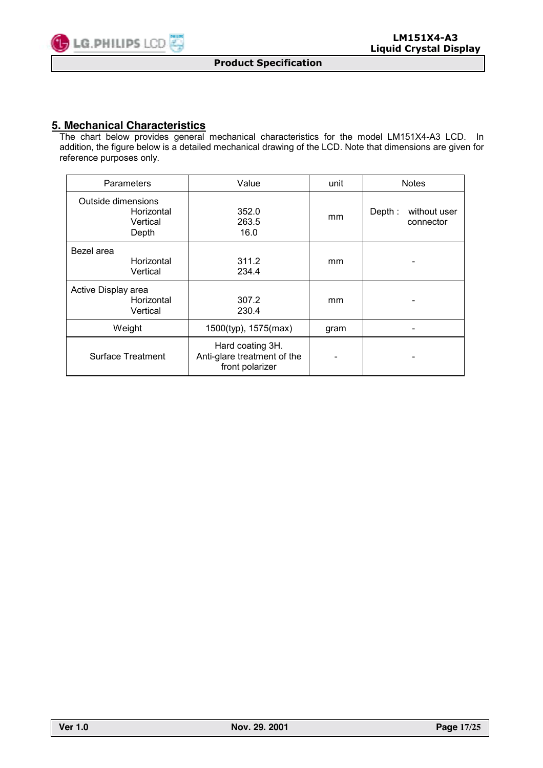## **5. Mechanical Characteristics**

The chart below provides general mechanical characteristics for the model LM151X4-A3 LCD. In addition, the figure below is a detailed mechanical drawing of the LCD. Note that dimensions are given for reference purposes only.

| Parameters                                            | Value                                                              | unit | <b>Notes</b>                        |
|-------------------------------------------------------|--------------------------------------------------------------------|------|-------------------------------------|
| Outside dimensions<br>Horizontal<br>Vertical<br>Depth | 352.0<br>263.5<br>16.0                                             | mm   | Depth:<br>without user<br>connector |
| Bezel area<br>Horizontal<br>Vertical                  | 311.2<br>234.4                                                     | mm   |                                     |
| Active Display area<br>Horizontal<br>Vertical         | 307.2<br>230.4                                                     | mm   |                                     |
| Weight                                                | 1500(typ), 1575(max)                                               | gram |                                     |
| <b>Surface Treatment</b>                              | Hard coating 3H.<br>Anti-glare treatment of the<br>front polarizer |      |                                     |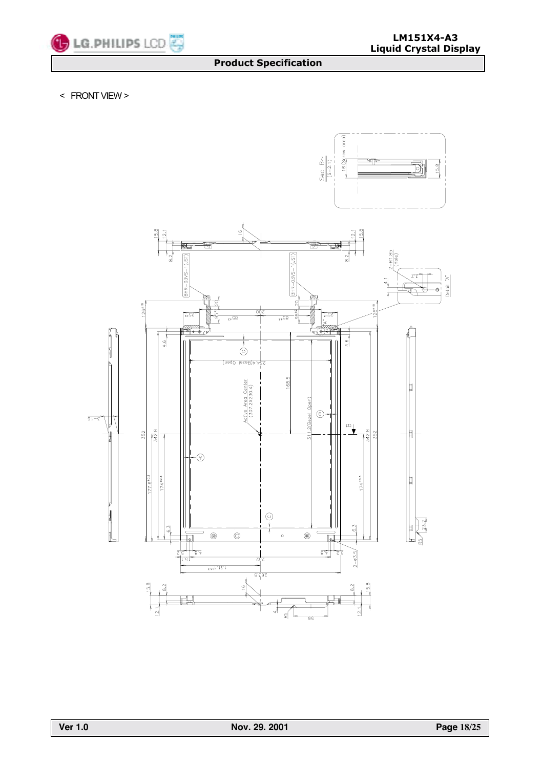

< FRONT VIEW >

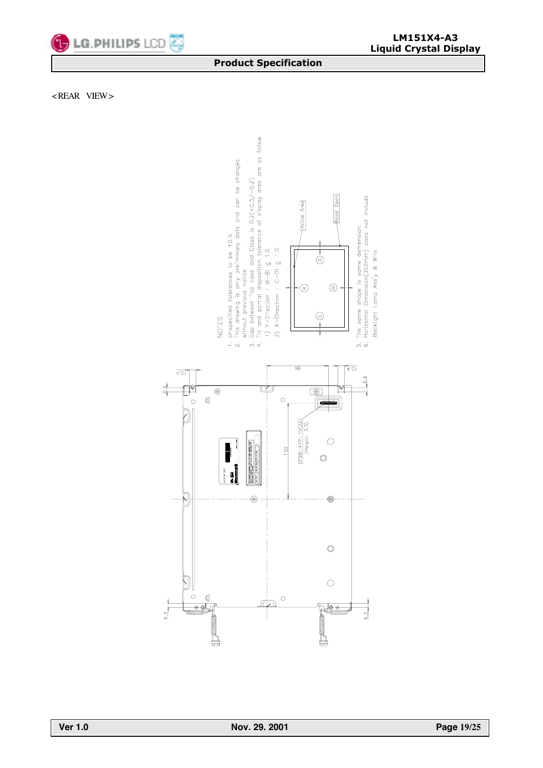

 $RER$  VIEW  $>$ 

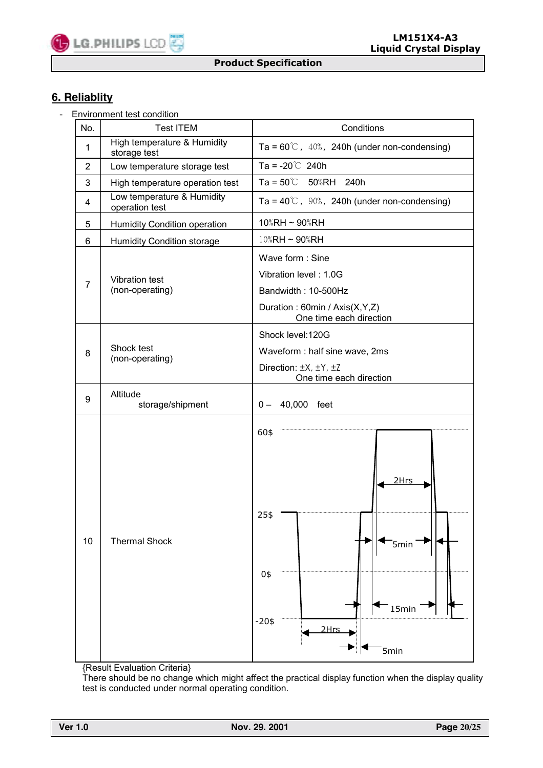# **6. Reliablity**

- Environment test condition

| No.            | <b>Test ITEM</b>                             | Conditions                                                                                                                  |  |  |  |  |  |
|----------------|----------------------------------------------|-----------------------------------------------------------------------------------------------------------------------------|--|--|--|--|--|
| $\mathbf{1}$   | High temperature & Humidity<br>storage test  | Ta = $60^{\circ}$ C, $40\%$ , 240h (under non-condensing)                                                                   |  |  |  |  |  |
| $\overline{2}$ | Low temperature storage test                 | Ta = $-20^{\circ}$ 240h                                                                                                     |  |  |  |  |  |
| 3              | High temperature operation test              | Ta = $50^{\circ}$ 50%RH 240h                                                                                                |  |  |  |  |  |
| 4              | Low temperature & Humidity<br>operation test | Ta = $40^{\circ}$ C, $90\%$ , 240h (under non-condensing)                                                                   |  |  |  |  |  |
| 5              | Humidity Condition operation                 | $10\%RH \sim 90\%RH$                                                                                                        |  |  |  |  |  |
| 6              | Humidity Condition storage                   | $10\%$ RH ~ 90 $%$ RH                                                                                                       |  |  |  |  |  |
| 7              | Vibration test<br>(non-operating)            | Wave form: Sine<br>Vibration level: 1.0G<br>Bandwidth: 10-500Hz<br>Duration: 60min / Axis(X,Y,Z)<br>One time each direction |  |  |  |  |  |
| 8              | Shock test<br>(non-operating)                | Shock level: 120G<br>Waveform : half sine wave, 2ms<br>Direction: ±X, ±Y, ±Z<br>One time each direction                     |  |  |  |  |  |
| 9              | Altitude<br>storage/shipment                 | $0 - 40,000$ feet                                                                                                           |  |  |  |  |  |
| 10             | <b>Thermal Shock</b>                         | 60\$<br>2Hrs<br>25\$<br>5 <sub>min</sub><br>0\$<br>15min<br>$-20$$<br><u>2Hrs</u><br>5min                                   |  |  |  |  |  |

{Result Evaluation Criteria}

 There should be no change which might affect the practical display function when the display quality test is conducted under normal operating condition.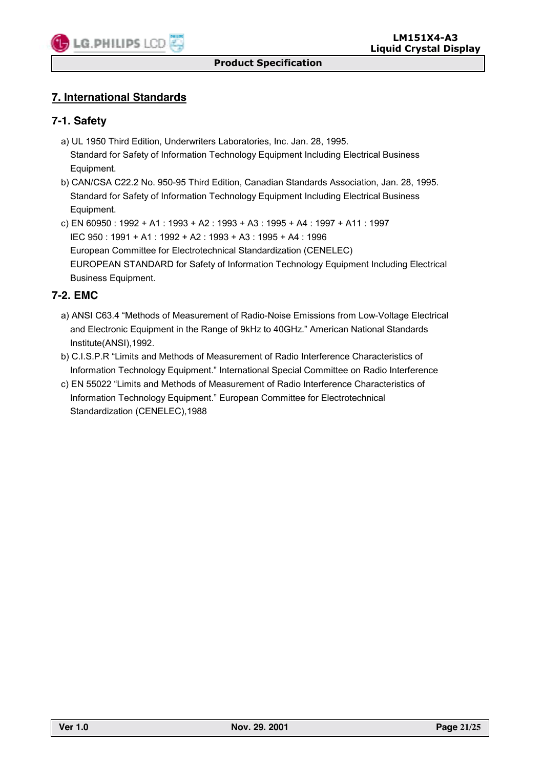# **7. International Standards**

## **7-1. Safety**

- a) UL 1950 Third Edition, Underwriters Laboratories, Inc. Jan. 28, 1995. Standard for Safety of Information Technology Equipment Including Electrical Business Equipment.
- b) CAN/CSA C22.2 No. 950-95 Third Edition, Canadian Standards Association, Jan. 28, 1995. Standard for Safety of Information Technology Equipment Including Electrical Business Equipment.
- c) EN 60950 : 1992 + A1 : 1993 + A2 : 1993 + A3 : 1995 + A4 : 1997 + A11 : 1997 IEC 950 : 1991 + A1 : 1992 + A2 : 1993 + A3 : 1995 + A4 : 1996 European Committee for Electrotechnical Standardization (CENELEC) EUROPEAN STANDARD for Safety of Information Technology Equipment Including Electrical Business Equipment.

# **7-2. EMC**

- a) ANSI C63.4 "Methods of Measurement of Radio-Noise Emissions from Low-Voltage Electrical and Electronic Equipment in the Range of 9kHz to 40GHz." American National Standards Institute(ANSI),1992.
- b) C.I.S.P.R "Limits and Methods of Measurement of Radio Interference Characteristics of Information Technology Equipment." International Special Committee on Radio Interference
- c) EN 55022 "Limits and Methods of Measurement of Radio Interference Characteristics of Information Technology Equipment." European Committee for Electrotechnical Standardization (CENELEC),1988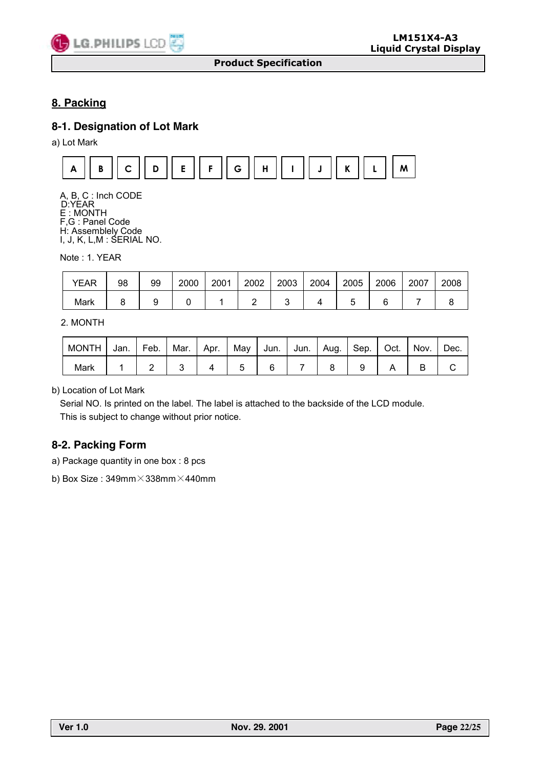

# **8. Packing**

# **8-1. Designation of Lot Mark**

a) Lot Mark



A, B, C : Inch CODE D:YEAR E : MONTH F,G : Panel Code H: Assemblely Code I, J, K, L,M : SERIAL NO.

Note : 1. YEAR

| <b>YEAR</b> | 98 | 99 | 2000 | 2001 | 2002 | 2003 | 2004 | 2005 | 2006 | 2007 | 2008 |
|-------------|----|----|------|------|------|------|------|------|------|------|------|
| Mark        |    |    |      |      |      |      |      |      |      |      |      |

#### 2. MONTH

| <b>MONTH</b> | Jan. | Feb. | Mar. | Apr. | May | Jun. | Jun. | Aug. | Sep. | Oct. | Nov. | Dec. |
|--------------|------|------|------|------|-----|------|------|------|------|------|------|------|
| Mark         |      |      |      |      |     |      |      |      |      |      |      |      |

b) Location of Lot Mark

Serial NO. Is printed on the label. The label is attached to the backside of the LCD module. This is subject to change without prior notice.

# **8-2. Packing Form**

a) Package quantity in one box : 8 pcs

b) Box Size:  $349$ mm $\times$ 338mm $\times$ 440mm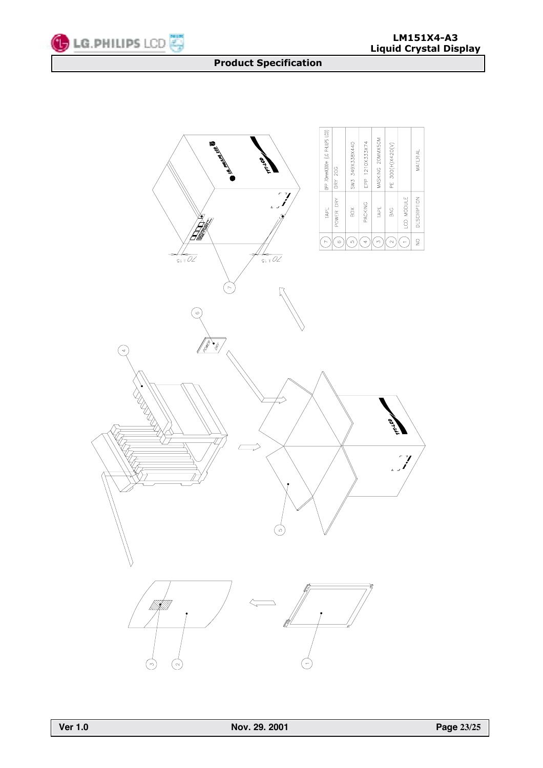

# **Liquid Crystal Display**

### **Product Specification**

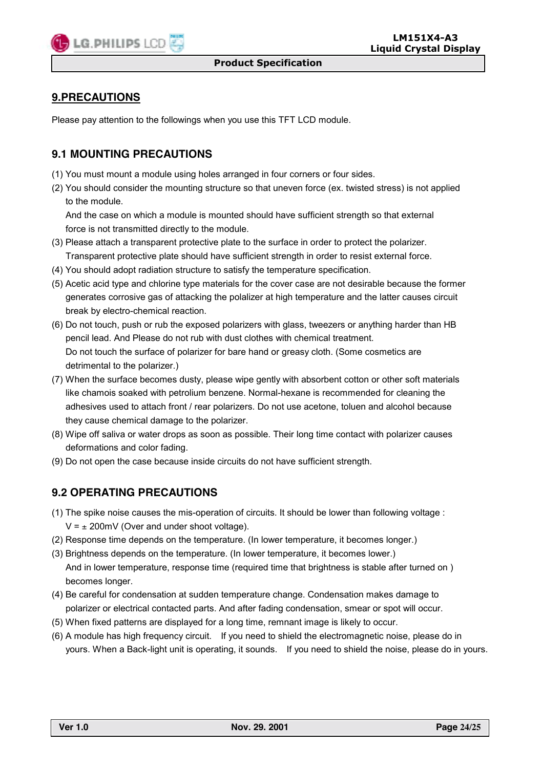

## **9.PRECAUTIONS**

Please pay attention to the followings when you use this TFT LCD module.

## **9.1 MOUNTING PRECAUTIONS**

- (1) You must mount a module using holes arranged in four corners or four sides.
- (2) You should consider the mounting structure so that uneven force (ex. twisted stress) is not applied to the module.

 And the case on which a module is mounted should have sufficient strength so that external force is not transmitted directly to the module.

- (3) Please attach a transparent protective plate to the surface in order to protect the polarizer. Transparent protective plate should have sufficient strength in order to resist external force.
- (4) You should adopt radiation structure to satisfy the temperature specification.
- (5) Acetic acid type and chlorine type materials for the cover case are not desirable because the former generates corrosive gas of attacking the polalizer at high temperature and the latter causes circuit break by electro-chemical reaction.
- (6) Do not touch, push or rub the exposed polarizers with glass, tweezers or anything harder than HB pencil lead. And Please do not rub with dust clothes with chemical treatment. Do not touch the surface of polarizer for bare hand or greasy cloth. (Some cosmetics are detrimental to the polarizer.)
- (7) When the surface becomes dusty, please wipe gently with absorbent cotton or other soft materials like chamois soaked with petrolium benzene. Normal-hexane is recommended for cleaning the adhesives used to attach front / rear polarizers. Do not use acetone, toluen and alcohol because they cause chemical damage to the polarizer.
- (8) Wipe off saliva or water drops as soon as possible. Their long time contact with polarizer causes deformations and color fading.
- (9) Do not open the case because inside circuits do not have sufficient strength.

## **9.2 OPERATING PRECAUTIONS**

- (1) The spike noise causes the mis-operation of circuits. It should be lower than following voltage :  $V = \pm 200$ mV (Over and under shoot voltage).
- (2) Response time depends on the temperature. (In lower temperature, it becomes longer.)
- (3) Brightness depends on the temperature. (In lower temperature, it becomes lower.) And in lower temperature, response time (required time that brightness is stable after turned on ) becomes longer.
- (4) Be careful for condensation at sudden temperature change. Condensation makes damage to polarizer or electrical contacted parts. And after fading condensation, smear or spot will occur.
- (5) When fixed patterns are displayed for a long time, remnant image is likely to occur.
- (6) A module has high frequency circuit. If you need to shield the electromagnetic noise, please do in yours. When a Back-light unit is operating, it sounds. If you need to shield the noise, please do in yours.